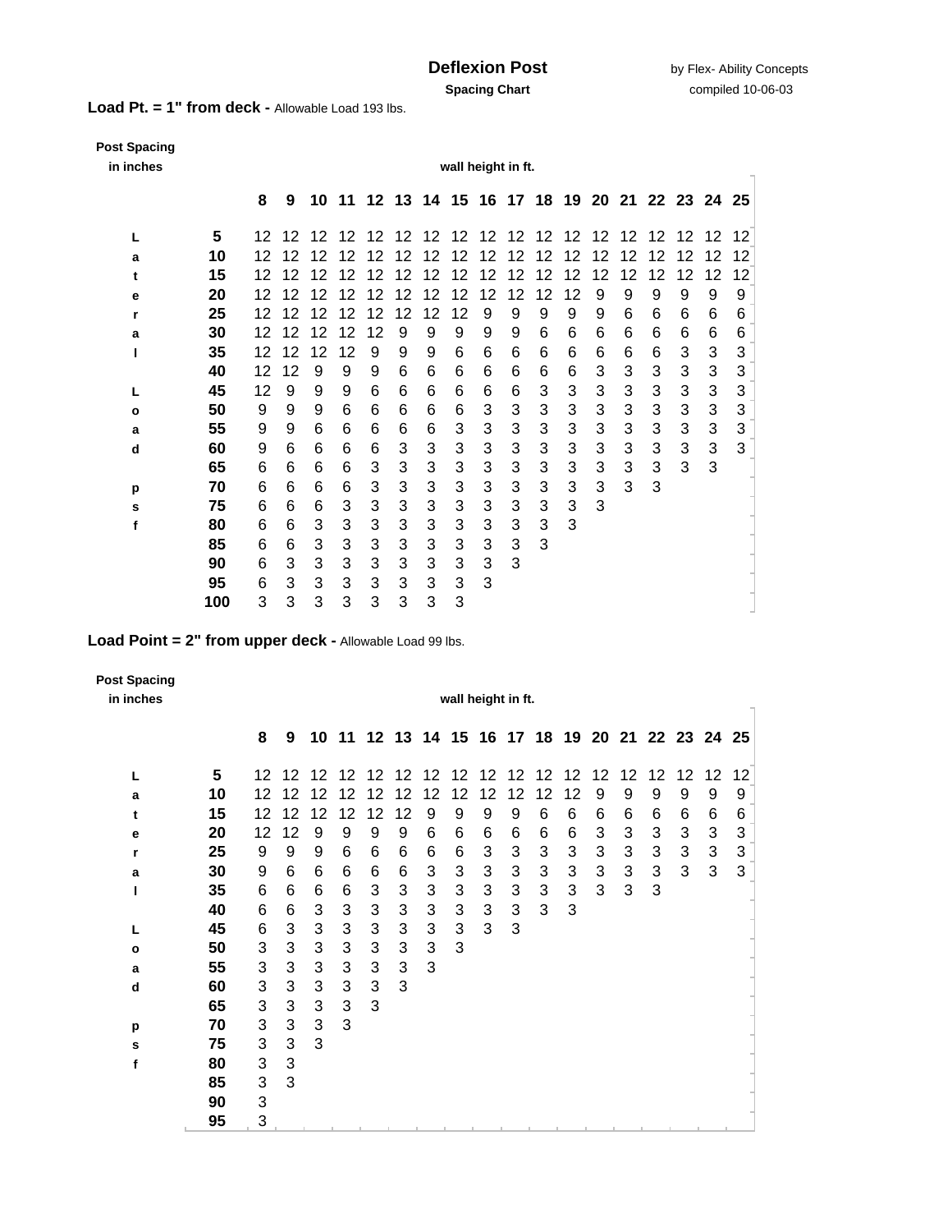**Load Pt. = 1" from deck -** Allowable Load 193 lbs.

| <b>Post Spacing</b><br>in inches | wall height in ft. |    |    |    |    |    |    |                                              |    |    |    |        |    |    |    |    |    |    |    |  |
|----------------------------------|--------------------|----|----|----|----|----|----|----------------------------------------------|----|----|----|--------|----|----|----|----|----|----|----|--|
|                                  |                    | 8  | 9  |    |    |    |    | 10 11 12 13 14 15 16 17 18 19 20 21 22 23 24 |    |    |    |        |    |    |    |    |    |    | 25 |  |
| L                                | 5                  | 12 | 12 | 12 | 12 | 12 | 12 | 12                                           | 12 | 12 | 12 | 12     | 12 | 12 | 12 | 12 | 12 | 12 | 12 |  |
| a                                | 10                 | 12 | 12 | 12 | 12 | 12 | 12 | 12                                           | 2  | 12 | 12 | 2      | 12 | 12 | 12 | 2  | 12 | 12 | 12 |  |
| t                                | 15                 | 12 | 12 | 12 | 12 | 12 | 12 | 12                                           | 12 | 12 | 12 | 2<br>1 | 12 | 12 | 12 | 12 | 12 | 12 | 12 |  |
| е                                | 20                 | 12 | 12 | 12 | 2  |    | 12 | 12                                           | 12 | 12 | 12 | 12     | 12 | 9  | 9  | 9  | 9  | 9  | 9  |  |
| r                                | 25                 | 12 | 12 | 12 | 12 | 12 | 12 | 12                                           | 12 | 9  | 9  | 9      | 9  | 9  | 6  | 6  | 6  | 6  | 6  |  |
| a                                | 30                 | 12 | 12 | 12 | 12 | 12 | 9  | 9                                            | 9  | 9  | 9  | 6      | 6  | 6  | 6  | 6  | 6  | 6  | 6  |  |
| ı                                | 35                 | 12 | 12 | 12 | 12 | 9  | 9  | 9                                            | 6  | 6  | 6  | 6      | 6  | 6  | 6  | 6  | 3  | 3  | 3  |  |
|                                  | 40                 | 12 | 12 | 9  | 9  | 9  | 6  | 6                                            | 6  | 6  | 6  | 6      | 6  | 3  | 3  | 3  | 3  | 3  | 3  |  |
| L                                | 45                 | 12 | 9  | 9  | 9  | 6  | 6  | 6                                            | 6  | 6  | 6  | 3      | 3  | 3  | 3  | 3  | 3  | 3  | 3  |  |
| $\mathbf o$                      | 50                 | 9  | 9  | 9  | 6  | 6  | 6  | 6                                            | 6  | 3  | 3  | 3      | 3  | 3  | 3  | 3  | 3  | 3  | 3  |  |
| а                                | 55                 | 9  | 9  | 6  | 6  | 6  | 6  | 6                                            | 3  | 3  | 3  | 3      | 3  | 3  | 3  | 3  | 3  | 3  | 3  |  |
| d                                | 60                 | 9  | 6  | 6  | 6  | 6  | 3  | 3                                            | 3  | 3  | 3  | 3      | 3  | 3  | 3  | 3  | 3  | 3  | 3  |  |
|                                  | 65                 | 6  | 6  | 6  | 6  | 3  | 3  | 3                                            | 3  | 3  | 3  | 3      | 3  | 3  | 3  | 3  | 3  | 3  |    |  |
| р                                | 70                 | 6  | 6  | 6  | 6  | 3  | 3  | 3                                            | 3  | 3  | 3  | 3      | 3  | 3  | 3  | 3  |    |    |    |  |
| S                                | 75                 | 6  | 6  | 6  | 3  | 3  | 3  | 3                                            | 3  | 3  | 3  | 3      | 3  | 3  |    |    |    |    |    |  |
| f                                | 80                 | 6  | 6  | 3  | 3  | 3  | 3  | 3                                            | 3  | 3  | 3  | 3      | 3  |    |    |    |    |    |    |  |
|                                  | 85                 | 6  | 6  | 3  | 3  | 3  | 3  | 3                                            | 3  | 3  | 3  | 3      |    |    |    |    |    |    |    |  |
|                                  | 90                 | 6  | 3  | 3  | 3  | 3  | 3  | 3                                            | 3  | 3  | 3  |        |    |    |    |    |    |    |    |  |
|                                  | 95                 | 6  | 3  | 3  | 3  | 3  | 3  | 3                                            | 3  | 3  |    |        |    |    |    |    |    |    |    |  |
|                                  | 100                | 3  | 3  | 3  | 3  | 3  | 3  | 3                                            | 3  |    |    |        |    |    |    |    |    |    |    |  |

**Load Point = 2" from upper deck -** Allowable Load 99 lbs.

| <b>Post Spacing</b><br>in inches |    | wall height in ft. |    |              |    |              |            |             |              |                 |    |              |                 |                |              |    |    |                               |    |  |
|----------------------------------|----|--------------------|----|--------------|----|--------------|------------|-------------|--------------|-----------------|----|--------------|-----------------|----------------|--------------|----|----|-------------------------------|----|--|
|                                  |    | 8                  | 9  | 10           | 11 |              |            | 12 13 14 15 |              |                 |    |              |                 |                |              |    |    | 16 17 18 19 20 21 22 23 24 25 |    |  |
| L                                | 5  | 12                 | 12 | 12           | 12 | 12           | 12         | 12          | 12           | 12 <sup>2</sup> | 12 | 12           | 12              | 12             | 12           | 12 | 12 | 12                            | 12 |  |
| a                                | 10 | 12                 | 12 | 12           | 12 | 12           | 12         | 12          | 12           | 12              | 12 | 12           | 12              | 9              | 9            | 9  | 9  | 9                             | 9  |  |
| t                                | 15 | 12                 | 12 | 12           | 12 | 12           | 12         | 9           | 9            | 9               | 9  | 6            | 6               | 6              | 6            | 6  | 6  | 6                             | 6  |  |
| е                                | 20 | 12                 | 12 | 9            | 9  | 9            | 9          | 6           | 6            | 6               | 6  | 6            | 6               | 3              | 3            | 3  | 3  | 3                             | 3  |  |
| r                                | 25 | 9                  | 9  | 9            | 6  | 6            | 6          | 6           | 6            | 3               | 3  | 3            | 3               | 3              | 3            | 3  | 3  | 3                             | 3  |  |
| a                                | 30 | 9                  | 6  | 6            | 6  | 6            | 6          | 3           | 3            | 3               | 3  | $\mathbf{3}$ | $\sqrt{3}$      | $\mathfrak{B}$ | $\mathbf{3}$ | 3  | 3  | 3                             | 3  |  |
| ı                                | 35 | 6                  | 6  | 6            | 6  | 3            | 3          | 3           | 3            | 3               | 3  | $\mathbf{3}$ | 3               | 3              | 3            | 3  |    |                               |    |  |
|                                  | 40 | 6                  | 6  | 3            | 3  | 3            | 3          | 3           | 3            | 3               | 3  | 3            | 3               |                |              |    |    |                               |    |  |
|                                  | 45 | 6                  | 3  | 3            | 3  | $\mathbf{3}$ | 3          | 3           | $\mathbf{3}$ | 3               | 3  |              |                 |                |              |    |    |                               |    |  |
| $\mathbf{o}$                     | 50 | 3                  | 3  | 3            | 3  | 3            | 3          | 3           | 3            |                 |    |              |                 |                |              |    |    |                               |    |  |
| a                                | 55 | 3                  | 3  | $\mathbf{3}$ | 3  | $\mathbf{3}$ | $\sqrt{3}$ | 3           |              |                 |    |              |                 |                |              |    |    |                               |    |  |
| d                                | 60 | 3                  | 3  | $\mathbf{3}$ | 3  | $\mathbf{3}$ | 3          |             |              |                 |    |              |                 |                |              |    |    |                               |    |  |
|                                  | 65 | 3                  | 3  | 3            | 3  | 3            |            |             |              |                 |    |              |                 |                |              |    |    |                               |    |  |
| p                                | 70 | 3                  | 3  | 3            | 3  |              |            |             |              |                 |    |              |                 |                |              |    |    |                               |    |  |
| s                                | 75 | 3                  | 3  | 3            |    |              |            |             |              |                 |    |              |                 |                |              |    |    |                               |    |  |
| f                                | 80 | 3                  | 3  |              |    |              |            |             |              |                 |    |              |                 |                |              |    |    |                               |    |  |
|                                  | 85 | 3                  | 3  |              |    |              |            |             |              |                 |    |              |                 |                |              |    |    |                               |    |  |
|                                  | 90 | 3                  |    |              |    |              |            |             |              |                 |    |              |                 |                |              |    |    |                               |    |  |
|                                  | 95 | 3                  |    |              |    |              |            |             |              |                 |    |              | <b>Contract</b> |                |              |    |    |                               |    |  |